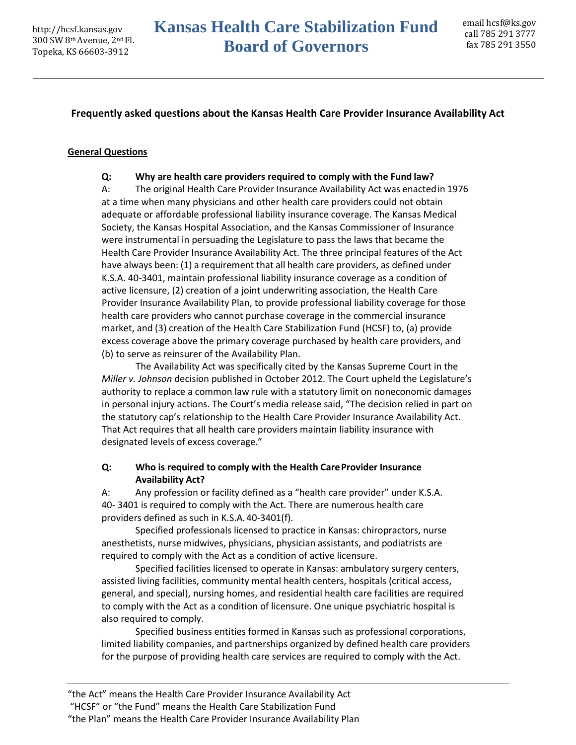### **Frequently asked questions about the Kansas Health Care Provider Insurance Availability Act**

#### **General Questions**

#### **Q: Why are health care providers required to comply with the Fund law?**

A: The original Health Care Provider Insurance Availability Act was enactedin 1976 at a time when many physicians and other health care providers could not obtain adequate or affordable professional liability insurance coverage. The Kansas Medical Society, the Kansas Hospital Association, and the Kansas Commissioner of Insurance were instrumental in persuading the Legislature to pass the laws that became the Health Care Provider Insurance Availability Act. The three principal features of the Act have always been: (1) a requirement that all health care providers, as defined under K.S.A. 40-3401, maintain professional liability insurance coverage as a condition of active licensure, (2) creation of a joint underwriting association, the Health Care Provider Insurance Availability Plan, to provide professional liability coverage for those health care providers who cannot purchase coverage in the commercial insurance market, and (3) creation of the Health Care Stabilization Fund (HCSF) to, (a) provide excess coverage above the primary coverage purchased by health care providers, and (b) to serve as reinsurer of the Availability Plan.

The Availability Act was specifically cited by the Kansas Supreme Court in the *Miller v. Johnson* decision published in October 2012. The Court upheld the Legislature's authority to replace a common law rule with a statutory limit on noneconomic damages in personal injury actions. The Court's media release said, "The decision relied in part on the statutory cap's relationship to the Health Care Provider Insurance Availability Act. That Act requires that all health care providers maintain liability insurance with designated levels of excess coverage."

#### **Q: Who is required to comply with the Health CareProvider Insurance Availability Act?**

A: Any profession or facility defined as a "health care provider" under K.S.A. 40- 3401 is required to comply with the Act. There are numerous health care providers defined as such in K.S.A.40-3401(f).

Specified professionals licensed to practice in Kansas: chiropractors, nurse anesthetists, nurse midwives, physicians, physician assistants, and podiatrists are required to comply with the Act as a condition of active licensure.

Specified facilities licensed to operate in Kansas: ambulatory surgery centers, assisted living facilities, community mental health centers, hospitals (critical access, general, and special), nursing homes, and residential health care facilities are required to comply with the Act as a condition of licensure. One unique psychiatric hospital is also required to comply.

Specified business entities formed in Kansas such as professional corporations, limited liability companies, and partnerships organized by defined health care providers for the purpose of providing health care services are required to comply with the Act.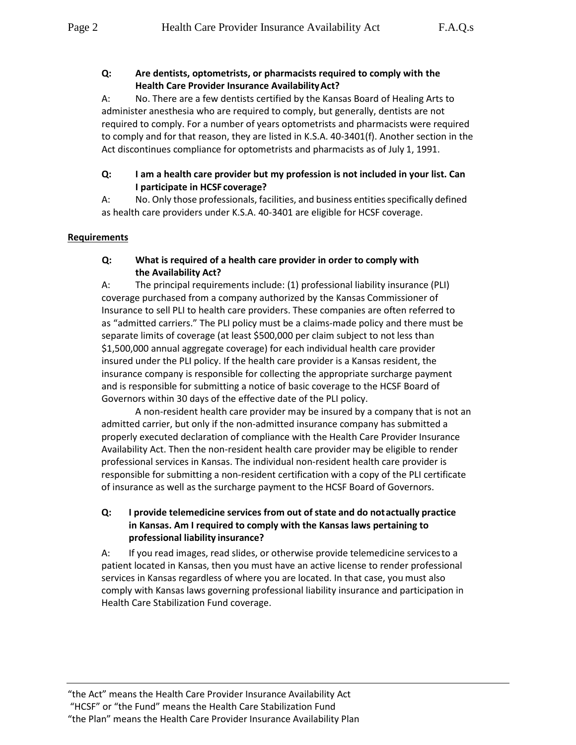## **Q: Are dentists, optometrists, or pharmacists required to comply with the Health Care Provider Insurance AvailabilityAct?**

A: No. There are a few dentists certified by the Kansas Board of Healing Arts to administer anesthesia who are required to comply, but generally, dentists are not required to comply. For a number of years optometrists and pharmacists were required to comply and for that reason, they are listed in K.S.A. 40-3401(f). Another section in the Act discontinues compliance for optometrists and pharmacists as of July 1, 1991.

### **Q: I am a health care provider but my profession is not included in your list. Can I participate in HCSF coverage?**

A: No. Only those professionals, facilities, and business entities specifically defined as health care providers under K.S.A. 40-3401 are eligible for HCSF coverage.

### **Requirements**

### **Q: What is required of a health care provider in order to comply with the Availability Act?**

A: The principal requirements include: (1) professional liability insurance (PLI) coverage purchased from a company authorized by the Kansas Commissioner of Insurance to sell PLI to health care providers. These companies are often referred to as "admitted carriers." The PLI policy must be a claims-made policy and there must be separate limits of coverage (at least \$500,000 per claim subject to not less than \$1,500,000 annual aggregate coverage) for each individual health care provider insured under the PLI policy. If the health care provider is a Kansas resident, the insurance company is responsible for collecting the appropriate surcharge payment and is responsible for submitting a notice of basic coverage to the HCSF Board of Governors within 30 days of the effective date of the PLI policy.

A non-resident health care provider may be insured by a company that is not an admitted carrier, but only if the non-admitted insurance company has submitted a properly executed declaration of compliance with the Health Care Provider Insurance Availability Act. Then the non-resident health care provider may be eligible to render professional services in Kansas. The individual non-resident health care provider is responsible for submitting a non-resident certification with a copy of the PLI certificate of insurance as well as the surcharge payment to the HCSF Board of Governors.

## **Q: I provide telemedicine services from out of state and do notactually practice in Kansas. Am I required to comply with the Kansas laws pertaining to professional liability insurance?**

A: If you read images, read slides, or otherwise provide telemedicine servicesto a patient located in Kansas, then you must have an active license to render professional services in Kansas regardless of where you are located. In that case, you must also comply with Kansas laws governing professional liability insurance and participation in Health Care Stabilization Fund coverage.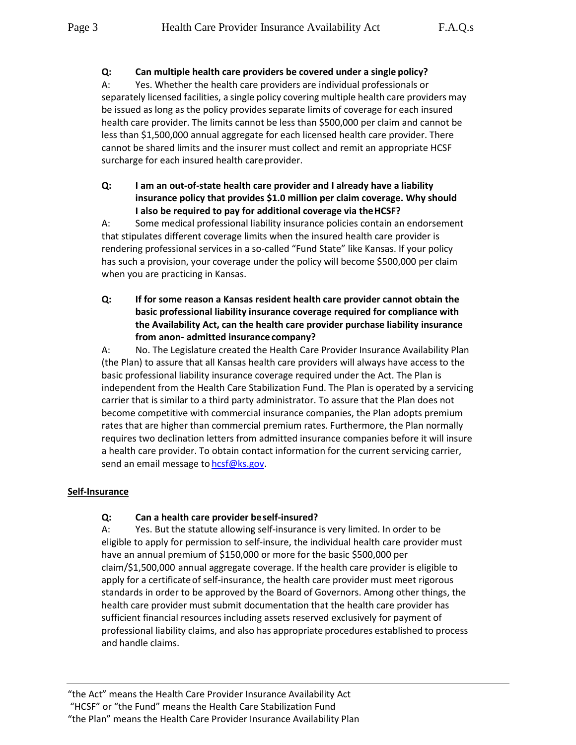A: Yes. Whether the health care providers are individual professionals or separately licensed facilities, a single policy covering multiple health care providers may be issued as long as the policy provides separate limits of coverage for each insured health care provider. The limits cannot be less than \$500,000 per claim and cannot be less than \$1,500,000 annual aggregate for each licensed health care provider. There cannot be shared limits and the insurer must collect and remit an appropriate HCSF surcharge for each insured health careprovider.

**Q: I am an out-of-state health care provider and I already have a liability insurance policy that provides \$1.0 million per claim coverage. Why should I also be required to pay for additional coverage via theHCSF?**

A: Some medical professional liability insurance policies contain an endorsement that stipulates different coverage limits when the insured health care provider is rendering professional services in a so-called "Fund State" like Kansas. If your policy has such a provision, your coverage under the policy will become \$500,000 per claim when you are practicing in Kansas.

**Q: If for some reason a Kansas resident health care provider cannot obtain the basic professional liability insurance coverage required for compliance with the Availability Act, can the health care provider purchase liability insurance from anon- admitted insurance company?**

A: No. The Legislature created the Health Care Provider Insurance Availability Plan (the Plan) to assure that all Kansas health care providers will always have access to the basic professional liability insurance coverage required under the Act. The Plan is independent from the Health Care Stabilization Fund. The Plan is operated by a servicing carrier that is similar to a third party administrator. To assure that the Plan does not become competitive with commercial insurance companies, the Plan adopts premium rates that are higher than commercial premium rates. Furthermore, the Plan normally requires two declination letters from admitted insurance companies before it will insure a health care provider. To obtain contact information for the current servicing carrier, send an email message to [hcsf@ks.gov.](mailto:hcsf@ks.gov)

## **Self-Insurance**

## **Q: Can a health care provider beself-insured?**

A: Yes. But the statute allowing self-insurance is very limited. In order to be eligible to apply for permission to self-insure, the individual health care provider must have an annual premium of \$150,000 or more for the basic \$500,000 per claim/\$1,500,000 annual aggregate coverage. If the health care provider is eligible to apply for a certificate of self-insurance, the health care provider must meet rigorous standards in order to be approved by the Board of Governors. Among other things, the health care provider must submit documentation that the health care provider has sufficient financial resources including assets reserved exclusively for payment of professional liability claims, and also has appropriate procedures established to process and handle claims.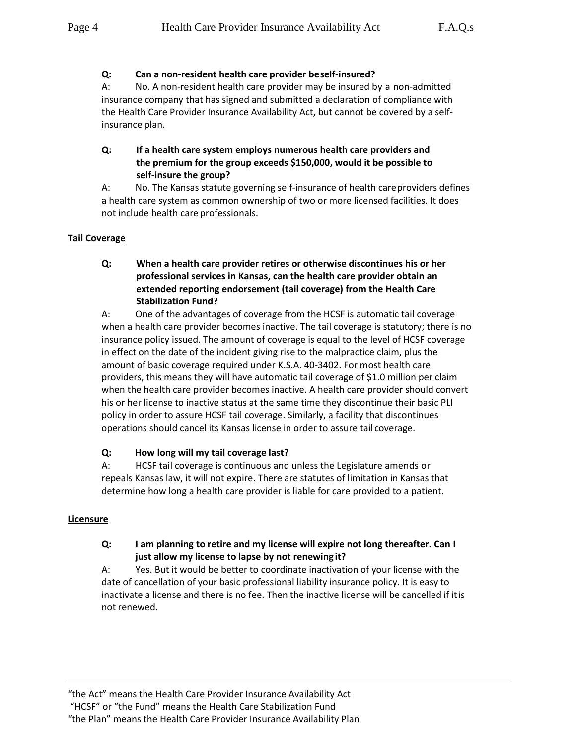## **Q: Can a non-resident health care provider beself-insured?**

A: No. A non-resident health care provider may be insured by a non-admitted insurance company that has signed and submitted a declaration of compliance with the Health Care Provider Insurance Availability Act, but cannot be covered by a selfinsurance plan.

# **Q: If a health care system employs numerous health care providers and the premium for the group exceeds \$150,000, would it be possible to self-insure the group?**

A: No. The Kansas statute governing self-insurance of health careproviders defines a health care system as common ownership of two or more licensed facilities. It does not include health care professionals.

## **Tail Coverage**

## **Q: When a health care provider retires or otherwise discontinues his or her professional services in Kansas, can the health care provider obtain an extended reporting endorsement (tail coverage) from the Health Care Stabilization Fund?**

A: One of the advantages of coverage from the HCSF is automatic tail coverage when a health care provider becomes inactive. The tail coverage is statutory; there is no insurance policy issued. The amount of coverage is equal to the level of HCSF coverage in effect on the date of the incident giving rise to the malpractice claim, plus the amount of basic coverage required under K.S.A. 40-3402. For most health care providers, this means they will have automatic tail coverage of \$1.0 million per claim when the health care provider becomes inactive. A health care provider should convert his or her license to inactive status at the same time they discontinue their basic PLI policy in order to assure HCSF tail coverage. Similarly, a facility that discontinues operations should cancel its Kansas license in order to assure tail coverage.

## **Q: How long will my tail coverage last?**

A: HCSF tail coverage is continuous and unless the Legislature amends or repeals Kansas law, it will not expire. There are statutes of limitation in Kansas that determine how long a health care provider is liable for care provided to a patient.

#### **Licensure**

### **Q: I am planning to retire and my license will expire not long thereafter. Can I just allow my license to lapse by not renewing it?**

A: Yes. But it would be better to coordinate inactivation of your license with the date of cancellation of your basic professional liability insurance policy. It is easy to inactivate a license and there is no fee. Then the inactive license will be cancelled if itis not renewed.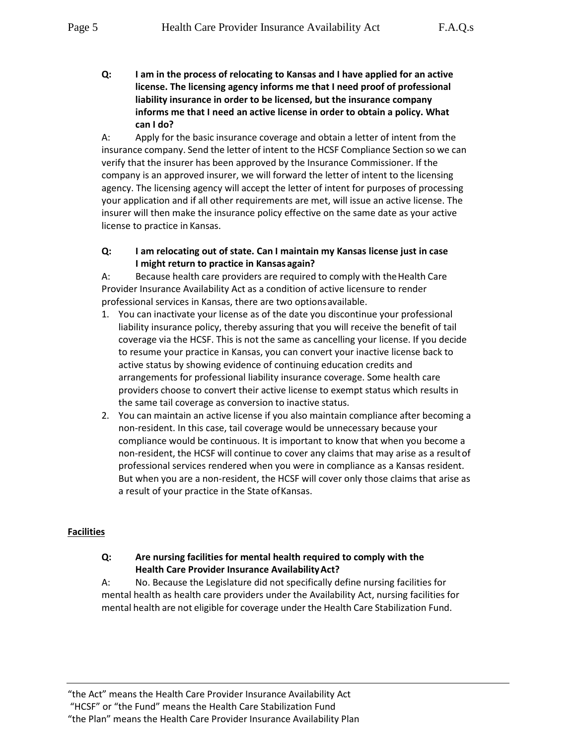**Q: I am in the process of relocating to Kansas and I have applied for an active license. The licensing agency informs me that I need proof of professional liability insurance in order to be licensed, but the insurance company informs me that I need an active license in order to obtain a policy. What can I do?**

A: Apply for the basic insurance coverage and obtain a letter of intent from the insurance company. Send the letter of intent to the HCSF Compliance Section so we can verify that the insurer has been approved by the Insurance Commissioner. If the company is an approved insurer, we will forward the letter of intent to the licensing agency. The licensing agency will accept the letter of intent for purposes of processing your application and if all other requirements are met, will issue an active license. The insurer will then make the insurance policy effective on the same date as your active license to practice in Kansas.

**Q: I am relocating out of state. Can I maintain my Kansas license just in case I might return to practice in Kansasagain?**

A: Because health care providers are required to comply with theHealth Care Provider Insurance Availability Act as a condition of active licensure to render professional services in Kansas, there are two optionsavailable.

- 1. You can inactivate your license as of the date you discontinue your professional liability insurance policy, thereby assuring that you will receive the benefit of tail coverage via the HCSF. This is not the same as cancelling your license. If you decide to resume your practice in Kansas, you can convert your inactive license back to active status by showing evidence of continuing education credits and arrangements for professional liability insurance coverage. Some health care providers choose to convert their active license to exempt status which results in the same tail coverage as conversion to inactive status.
- 2. You can maintain an active license if you also maintain compliance after becoming a non-resident. In this case, tail coverage would be unnecessary because your compliance would be continuous. It is important to know that when you become a non-resident, the HCSF will continue to cover any claims that may arise as a resultof professional services rendered when you were in compliance as a Kansas resident. But when you are a non-resident, the HCSF will cover only those claims that arise as a result of your practice in the State ofKansas.

## **Facilities**

## **Q: Are nursing facilities for mental health required to comply with the Health Care Provider Insurance AvailabilityAct?**

A: No. Because the Legislature did not specifically define nursing facilities for mental health as health care providers under the Availability Act, nursing facilities for mental health are not eligible for coverage under the Health Care Stabilization Fund.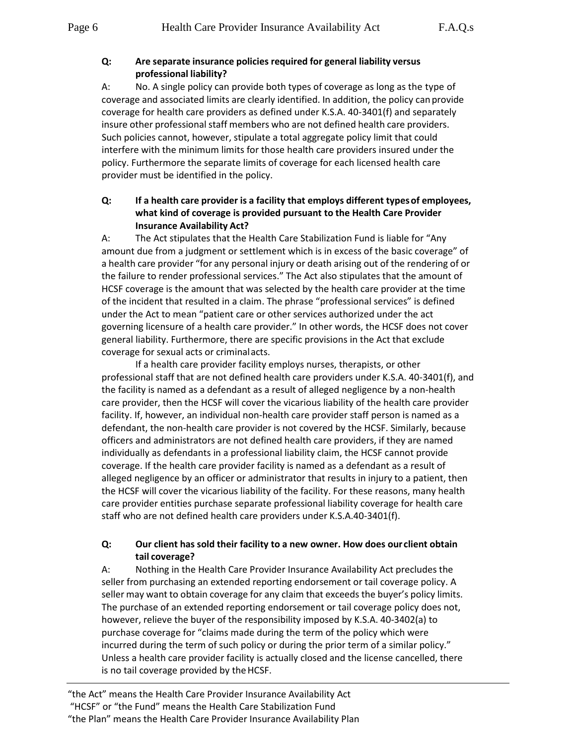#### **Q: Are separate insurance policies required for general liability versus professional liability?**

A: No. A single policy can provide both types of coverage as long as the type of coverage and associated limits are clearly identified. In addition, the policy can provide coverage for health care providers as defined under K.S.A. 40-3401(f) and separately insure other professional staff members who are not defined health care providers. Such policies cannot, however, stipulate a total aggregate policy limit that could interfere with the minimum limits for those health care providers insured under the policy. Furthermore the separate limits of coverage for each licensed health care provider must be identified in the policy.

### **Q: If a health care provider is a facility that employs different typesof employees, what kind of coverage is provided pursuant to the Health Care Provider Insurance Availability Act?**

A: The Act stipulates that the Health Care Stabilization Fund is liable for "Any amount due from a judgment or settlement which is in excess of the basic coverage" of a health care provider "for any personal injury or death arising out of the rendering of or the failure to render professional services." The Act also stipulates that the amount of HCSF coverage is the amount that was selected by the health care provider at the time of the incident that resulted in a claim. The phrase "professional services" is defined under the Act to mean "patient care or other services authorized under the act governing licensure of a health care provider." In other words, the HCSF does not cover general liability. Furthermore, there are specific provisions in the Act that exclude coverage for sexual acts or criminalacts.

If a health care provider facility employs nurses, therapists, or other professional staff that are not defined health care providers under K.S.A. 40-3401(f), and the facility is named as a defendant as a result of alleged negligence by a non-health care provider, then the HCSF will cover the vicarious liability of the health care provider facility. If, however, an individual non-health care provider staff person is named as a defendant, the non-health care provider is not covered by the HCSF. Similarly, because officers and administrators are not defined health care providers, if they are named individually as defendants in a professional liability claim, the HCSF cannot provide coverage. If the health care provider facility is named as a defendant as a result of alleged negligence by an officer or administrator that results in injury to a patient, then the HCSF will cover the vicarious liability of the facility. For these reasons, many health care provider entities purchase separate professional liability coverage for health care staff who are not defined health care providers under K.S.A.40-3401(f).

## **Q: Our client has sold their facility to a new owner. How does our client obtain tail coverage?**

A: Nothing in the Health Care Provider Insurance Availability Act precludes the seller from purchasing an extended reporting endorsement or tail coverage policy. A seller may want to obtain coverage for any claim that exceeds the buyer's policy limits. The purchase of an extended reporting endorsement or tail coverage policy does not, however, relieve the buyer of the responsibility imposed by K.S.A. 40-3402(a) to purchase coverage for "claims made during the term of the policy which were incurred during the term of such policy or during the prior term of a similar policy." Unless a health care provider facility is actually closed and the license cancelled, there is no tail coverage provided by the HCSF.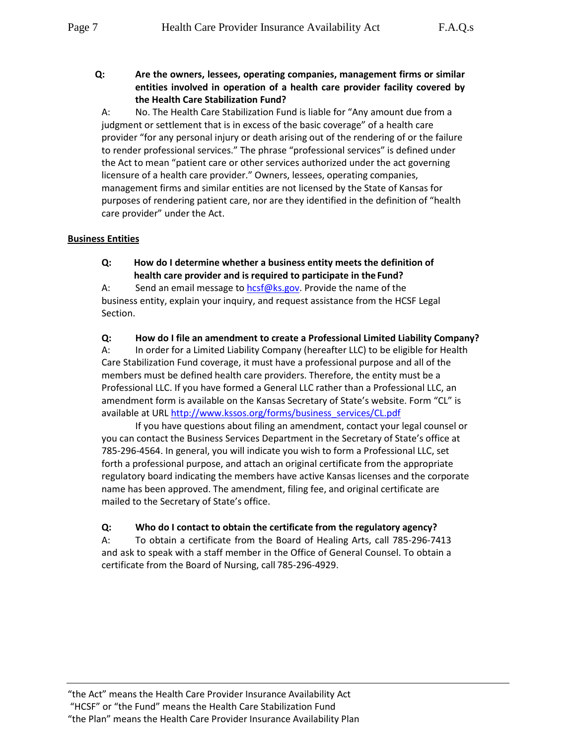**Q: Are the owners, lessees, operating companies, management firms or similar entities involved in operation of a health care provider facility covered by the Health Care Stabilization Fund?**

A: No. The Health Care Stabilization Fund is liable for "Any amount due from a judgment or settlement that is in excess of the basic coverage" of a health care provider "for any personal injury or death arising out of the rendering of or the failure to render professional services." The phrase "professional services" is defined under the Act to mean "patient care or other services authorized under the act governing licensure of a health care provider." Owners, lessees, operating companies, management firms and similar entities are not licensed by the State of Kansas for purposes of rendering patient care, nor are they identified in the definition of "health care provider" under the Act.

### **Business Entities**

**Q: How do I determine whether a business entity meets the definition of health care provider and is required to participate in theFund?**

A: Send an email message to [hcsf@ks.gov.](mailto:hcsf@ks.gov) Provide the name of the business entity, explain your inquiry, and request assistance from the HCSF Legal Section.

**Q: How do I file an amendment to create a Professional Limited Liability Company?**

A: In order for a Limited Liability Company (hereafter LLC) to be eligible for Health Care Stabilization Fund coverage, it must have a professional purpose and all of the members must be defined health care providers. Therefore, the entity must be a Professional LLC. If you have formed a General LLC rather than a Professional LLC, an amendment form is available on the Kansas Secretary of State's website. Form "CL" is available at UR[L http://www.kssos.org/forms/business\\_services/CL.pdf](http://www.kssos.org/forms/business_services/CL.pdf)

If you have questions about filing an amendment, contact your legal counsel or you can contact the Business Services Department in the Secretary of State's office at 785-296-4564. In general, you will indicate you wish to form a Professional LLC, set forth a professional purpose, and attach an original certificate from the appropriate regulatory board indicating the members have active Kansas licenses and the corporate name has been approved. The amendment, filing fee, and original certificate are mailed to the Secretary of State's office.

## **Q: Who do I contact to obtain the certificate from the regulatory agency?**

A: To obtain a certificate from the Board of Healing Arts, call 785-296-7413 and ask to speak with a staff member in the Office of General Counsel. To obtain a certificate from the Board of Nursing, call 785-296-4929.